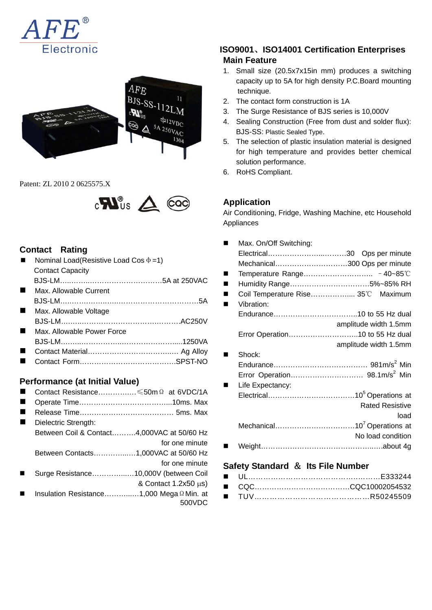



Patent: ZL 2010 2 0625575.X



## **Contact Rating**

| Nominal Load(Resistive Load Cos $\Phi$ =1) |  |  |
|--------------------------------------------|--|--|
| <b>Contact Capacity</b>                    |  |  |
|                                            |  |  |
| Max. Allowable Current                     |  |  |
|                                            |  |  |
| Max. Allowable Voltage                     |  |  |
|                                            |  |  |
| Max. Allowable Power Force                 |  |  |
|                                            |  |  |
|                                            |  |  |
|                                            |  |  |
|                                            |  |  |

#### **Performance (at Initial Value)**

 Contact Resistance………….…≤50mΩ at 6VDC/1A ■ Operate Time…………………………………………………………10ms. Max ■ Release Time…………………………………………… 5ms. Max Dielectric Strength: Between Coil & Contact……….4,000VAC at 50/60 Hz for one minute Between Contacts…………...…1,000VAC at 50/60 Hz for one minute Surge Resistance…………...…10,000V (between Coil & Contact 1.2x50 μs) Insulation Resistance………...…1,000 MegaΩMin. at 500VDC

# **ISO9001**、**ISO14001 Certification Enterprises Main Feature**

- 1. Small size (20.5x7x15in mm) produces a switching capacity up to 5A for high density P.C.Board mounting technique.
- 2. The contact form construction is 1A
- 3. The Surge Resistance of BJS series is 10,000V
- 4. Sealing Construction (Free from dust and solder flux): BJS-SS: Plastic Sealed Type.
- 5. The selection of plastic insulation material is designed for high temperature and provides better chemical solution performance.
- 6. RoHS Compliant.

# **Application**

Air Conditioning, Fridge, Washing Machine, etc Household Appliances

| Max. On/Off Switching:             |                        |
|------------------------------------|------------------------|
|                                    |                        |
| Mechanical300 Ops per minute       |                        |
|                                    |                        |
| Humidity Range5%~85% RH            |                        |
| Coil Temperature Rise 35°C Maximum |                        |
| Vibration:                         |                        |
|                                    |                        |
|                                    | amplitude width 1.5mm  |
| Error Operation10 to 55 Hz dual    |                        |
|                                    | amplitude width 1.5mm  |
| Shock:                             |                        |
|                                    |                        |
|                                    |                        |
| Life Expectancy:                   |                        |
|                                    |                        |
|                                    | <b>Rated Resistive</b> |
|                                    | load                   |
|                                    |                        |
|                                    | No load condition      |
|                                    |                        |

## **Safety Standard** & **Its File Number**